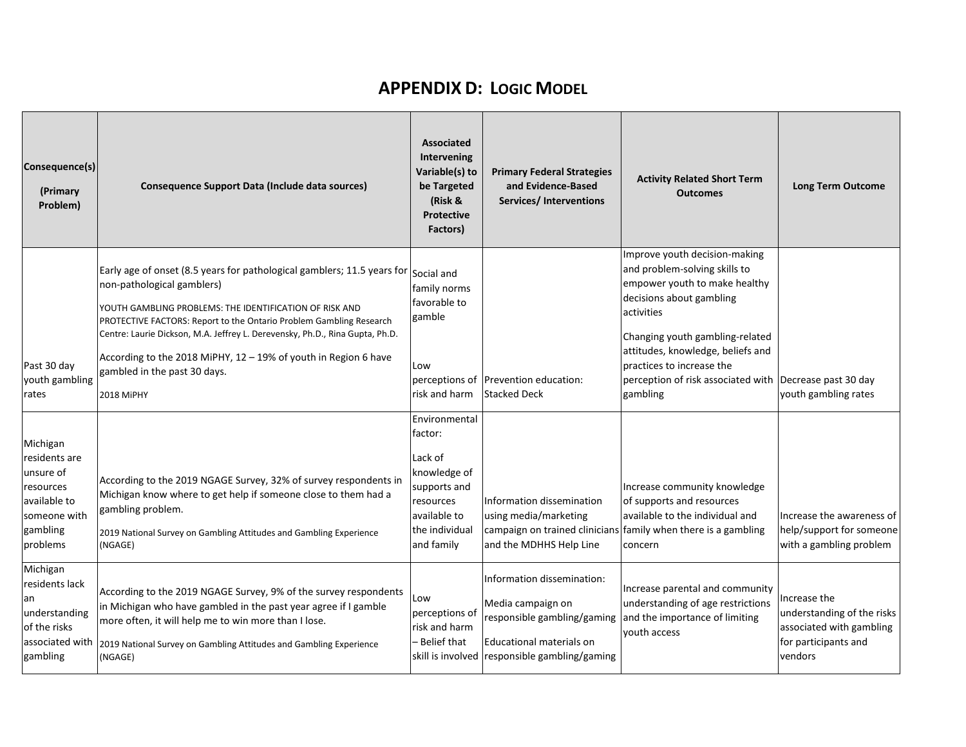## **APPENDIX D: LOGIC MODEL**

| Consequence(s)<br>(Primary<br>Problem)                                                                      | Consequence Support Data (Include data sources)                                                                                                                                                                                                                                                                                                                                                                                          | <b>Associated</b><br>Intervening<br>Variable(s) to<br>be Targeted<br>(Risk &<br><b>Protective</b><br>Factors)                    | <b>Primary Federal Strategies</b><br>and Evidence-Based<br><b>Services/Interventions</b>                                                                    | <b>Activity Related Short Term</b><br><b>Outcomes</b>                                                                                                                                                                                                                                                                 | <b>Long Term Outcome</b>                                                                                  |
|-------------------------------------------------------------------------------------------------------------|------------------------------------------------------------------------------------------------------------------------------------------------------------------------------------------------------------------------------------------------------------------------------------------------------------------------------------------------------------------------------------------------------------------------------------------|----------------------------------------------------------------------------------------------------------------------------------|-------------------------------------------------------------------------------------------------------------------------------------------------------------|-----------------------------------------------------------------------------------------------------------------------------------------------------------------------------------------------------------------------------------------------------------------------------------------------------------------------|-----------------------------------------------------------------------------------------------------------|
| Past 30 day<br>youth gambling<br>rates                                                                      | Early age of onset (8.5 years for pathological gamblers; 11.5 years for<br>non-pathological gamblers)<br>YOUTH GAMBLING PROBLEMS: THE IDENTIFICATION OF RISK AND<br>PROTECTIVE FACTORS: Report to the Ontario Problem Gambling Research<br>Centre: Laurie Dickson, M.A. Jeffrey L. Derevensky, Ph.D., Rina Gupta, Ph.D.<br>According to the 2018 MiPHY, 12 - 19% of youth in Region 6 have<br>gambled in the past 30 days.<br>2018 MiPHY | Social and<br>family norms<br>favorable to<br>gamble<br>Low<br>risk and harm                                                     | perceptions of Prevention education:<br><b>Stacked Deck</b>                                                                                                 | Improve youth decision-making<br>and problem-solving skills to<br>empower youth to make healthy<br>decisions about gambling<br>activities<br>Changing youth gambling-related<br>attitudes, knowledge, beliefs and<br>practices to increase the<br>perception of risk associated with Decrease past 30 day<br>gambling | youth gambling rates                                                                                      |
| Michigan<br>residents are<br>unsure of<br>resources<br>available to<br>someone with<br>gambling<br>problems | According to the 2019 NGAGE Survey, 32% of survey respondents in<br>Michigan know where to get help if someone close to them had a<br>gambling problem.<br>2019 National Survey on Gambling Attitudes and Gambling Experience<br>(NGAGE)                                                                                                                                                                                                 | Environmental<br>factor:<br>Lack of<br>knowledge of<br>supports and<br>resources<br>available to<br>the individual<br>and family | Information dissemination<br>using media/marketing<br>and the MDHHS Help Line                                                                               | Increase community knowledge<br>of supports and resources<br>available to the individual and<br>campaign on trained clinicians family when there is a gambling<br>concern                                                                                                                                             | Increase the awareness of<br>help/support for someone<br>with a gambling problem                          |
| Michigan<br>residents lack<br>an<br>understanding<br>of the risks<br>associated with<br>gambling            | According to the 2019 NGAGE Survey, 9% of the survey respondents<br>in Michigan who have gambled in the past year agree if I gamble<br>more often, it will help me to win more than I lose.<br>2019 National Survey on Gambling Attitudes and Gambling Experience<br>(NGAGE)                                                                                                                                                             | Low<br>perceptions of<br>risk and harm<br><b>Belief that</b>                                                                     | Information dissemination:<br>Media campaign on<br>responsible gambling/gaming<br>Educational materials on<br>skill is involved responsible gambling/gaming | Increase parental and community<br>understanding of age restrictions<br>and the importance of limiting<br>youth access                                                                                                                                                                                                | Increase the<br>understanding of the risks<br>associated with gambling<br>for participants and<br>vendors |